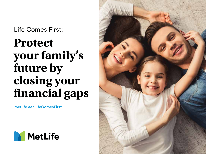Life Comes First:

# **Protect your family's future by closing your financial gaps**

**metlife.ae/LifeComesFirst**



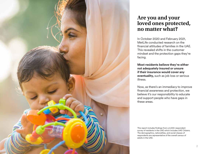

### **Are you and your loved ones protected, no matter what?**

In October 2020 and February 2021, MetLife conducted research on the financial attitudes of families in the UAE. This revealed shifts in the customer mindset and the protection gaps they're facing.

**Most residents believe they're either not adequately insured or unsure if their insurance would cover any eventuality,** such as job loss or serious illness.

Now, as there's an immediacy to improve financial awareness and protection, we believe it's our responsibility to educate and support people who have gaps in these areas.

This report includes findings from a 2,000-respondent survey of residents in the UAE which includes UAE Citizens. The demographics, nationalities, and social classes of respondents are representative of the overall census of adults in the UAE.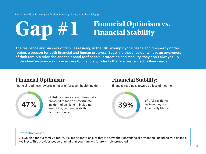# Gap #1 Financial Optimism vs.

The resilience and success of families residing in the UAE exemplify the peace and prosperity of the region, a beacon for both financial and human progress. But while these residents have an awareness of their family's priorities and their need for financial protection and stability, they don't always fully understand insurance or have access to financial products that are best suited to their needs.

## **Financial Optimism:**

financial readiness towards a major unforeseen health incident.



of UAE residents are not financially prepared to face an unfortunate incident of any kind —including loss of life, sudden disability, or critical illness.

## **Financial Stability:**

financial readiness towards a loss of income.



of UAE residents **39%** believe they are Financially Stable.

#### Protection lesson

As we plan for our family's future, it's important to ensure that we have the right financial protection, including true financial wellness. This provides peace of mind that your family's future is truly protected.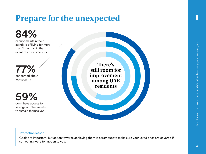# **Prepare for the unexpected**



#### Protection lesson

Goals are important, but action towards achieving them is paramount to make sure your loved ones are covered if something were to happen to you.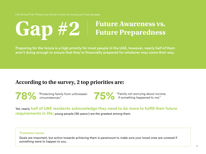# **Future Awareness vs. Gap #2 Future Preparedness**

Preparing for the future is a high priority for most people in the UAE, however, nearly half of them aren't doing enough to ensure that they're financially prepared for whatever may come their way.

### **According to the survey, 2 top priorities are:**

"Protecting family from unforeseen **78%** circumstances."

**75%** <sup>"Family not worrying about income" if something happened to me."</sup>

Yet, nearly **half of UAE residents acknowledge they need to do more to fulfill their future requirements in life;** young people (38 years>) are the greatest among them.

#### Protection lesson

Goals are important, but action towards achieving them is paramount to make sure your loved ones are covered if something were to happen to you.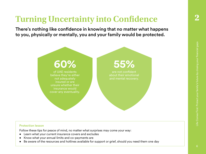## **Turning Uncertainty into Confidence**

There's nothing like confidence in knowing that no matter what happens to you, physically or mentally, you and your family would be protected.



#### Protection lesson

Follow these tips for peace of mind, no matter what surprises may come your way:

- Learn what your current insurance covers and excludes
- Know what your annual limits and co-payments are
- Be aware of the resources and hotlines available for support or grief, should you need them one day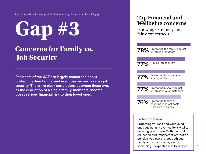# **Gap #3**

## **Concerns for Family vs. Job Security**

Residents of the UAE are largely concerned about protecting their family, and in a close second, comes job security. There are clear correlations between these two, as the disruption of a single family-members' income poses serious financial risk to their loved ones.

## **Top Financial and Wellbeing concerns**

(showing extremely and fairly concerned)

**78%** Protecting the family against<br>**78%** unforseen incidents unforseen incidents

77% Having job security

77% Protecting family against any major illness



77% Protecting myself against<br>T7% unforeseen circumstances unforeseen circumstances

**76%** Protecting family by covering medical costs from serous illness

#### Protection lesson

Protecting yourself and your loved ones against any eventuality is vital to securing your future. With the right education and transparent protection policies, you can protect both your family and your income, even if something unexpected was to happen.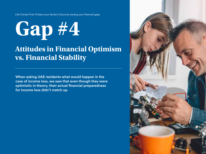

## **Attitudes in Financial Optimism vs. Financial Stability**

When asking UAE residents what would happen in the case of income loss, we saw that even though they were optimistic in theory, their actual financial preparedness for income loss didn't match up.

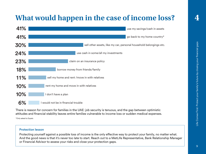## **What would happen in the case of income loss?**



There is reason for concern for families in the UAE: job security is tenuous, and the gap between optimistic attitudes and financial stability leaves entire families vulnerable to income loss or sudden medical expenses. \*Only asked to Expats

#### Protection lesson

Protecting yourself against a possible loss of income is the only effective way to protect your family, no matter what. And the good news is that it's never too late to start. Reach out to a MetLife Representative, Bank Relationship Manager or Financial Advisor to assess your risks and close your protection gaps.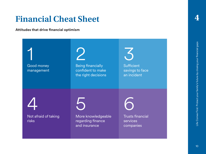## **Financial Cheat Sheet**

**Attitudes that drive financial optimism**

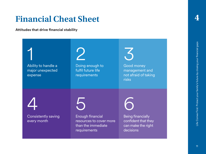## **Financial Cheat Sheet**

**Attitudes that drive financial stability**

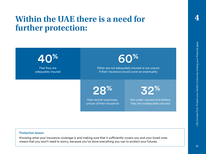## **Within the UAE there is a need for further protection:**

Feel they are adequately insured 40% Had neutral responses, unsure of their insurance 28% Are under-insured and believe they are inadequately insured 32% Either are not adequately insured or are unsure if their insurance would cover an eventuality 60%

**4**

#### Protection lesson

Knowing what your insurance coverage is and making sure that it sufficiently covers you and your loved ones means that you won't need to worry, because you've done everything you can to protect your futures.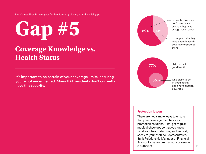# **Gap #5**

## **Coverage Knowledge vs. Health Status**

It's important to be certain of your coverage limits, ensuring you're not underinsured. Many UAE residents don't currently have this security.



#### Protection lesson

There are two simple ways to ensure that your coverage matches your protection solutions. First, get regular medical checkups so that you know what your health status is, and second, speak to your MetLife Representative, Bank Relationship Manager or Financial Advisor to make sure that your coverage is sufficient.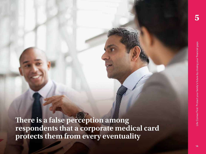**5**

**There is a false perception among respondents that a corporate medical card protects them from every eventuality**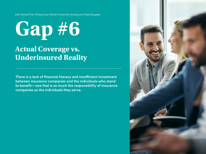# **Actual Coverage vs. Underinsured Reality Gap #6**

There is a lack of financial literacy and insufficient investment between insurance companies and the individuals who stand to benefit—one that is as much the responsibility of insurance companies as the individuals they serve.

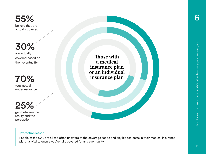55%

believe they are actually covered

are actually covered based on their eventuality 30%

70%

total actual underinsurance

gap between the reality and the 25%

perception

Protection lesson

People of the UAE are all too often unaware of the coverage scope and any hidden costs in their medical insurance plan. It's vital to ensure you're fully covered for any eventuality.

**Those with a medical insurance plan or an individual insurance plan**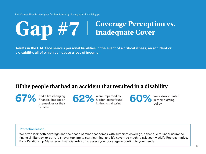# Gap #7 **Coverage Perception vs.**

Adults in the UAE face serious personal liabilities in the event of a critical illness, an accident or a disability, all of which can cause a loss of income.

## **Of the people that had an accident that resulted in a disability**

had a life changing financial impact on themselves or their families **67%** had a life changing<br>
themselves or their<br>
themselves or their<br> **62%** were impacted by<br>
in their small print

in their small print

**60%** were disappointed in their existing policy

#### Protection lesson

We often lack both coverage and the peace of mind that comes with sufficient coverage, either due to underinsurance, financial illiteracy, or both. It's never too late to start learning, and it's never too much to ask your MetLife Representative, Bank Relationship Manager or Financial Advisor to assess your coverage according to your needs.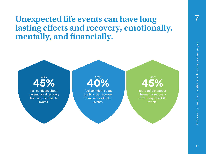## **Unexpected life events can have long lasting effects and recovery, emotionally, mentally, and financially.**

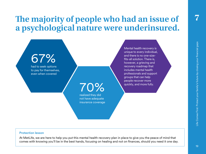## **The majority of people who had an issue of a psychological nature were underinsured.**

# 67%

had to seek options to pay for themselves, even when covered

70%

realized they did not have adequate insurance coverage

Mental health recovery is unique to every individual, and there is no one-sizefits-all solution. There is, however, a grieving and recovery roadmap that includes mental health professionals and support groups that can help people recover more quickly, and more fully.

#### Protection lesson

At MetLife, we are here to help you put this mental health recovery plan in place to give you the peace of mind that comes with knowing you'll be in the best hands, focusing on healing and not on finances, should you need it one day.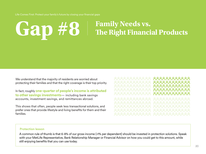# Gap #8 **Family Needs vs.**<br>The Right Financial Products

We understand that the majority of residents are worried about protecting their families and that the right coverage is their top priority.

In fact, roughly **one-quarter of people's income is attributed to other savings investments**— including bank savings accounts, investment savings, and remittances abroad.

This shows that often, people seek less transactional solutions, and prefer ones that provide lifestyle and living benefits for them and their families.

88888888888

#### Protection lesson

A common rule of thumb is that 6-8% of our gross income (+1% per dependent) should be invested in protection solutions. Speak with your MetLife Representative, Bank Relationship Manager or Financial Advisor on how you could get to this amount, while still enjoying benefits that you can use today.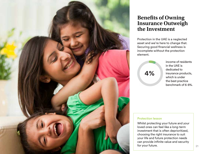

### **Benefits of Owning Insurance Outweigh the Investment**

Protection in the UAE is a neglected asset and we're here to change that. Securing good financial wellness is incomplete without the protection element.

4%

income of residents in the UAE is dedicated to insurance products, which is under the best practice benchmark of 6-8%.

#### Protection lesson

Whilst protecting your future and your loved ones can feel like a long-term investment that is often deprioritized, choosing the right insurance to suit your life and future protection needs can provide infinite value and security for your future.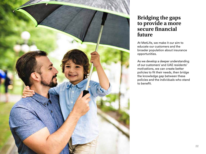

### **Bridging the gaps to provide a more secure financial future**

At MetLife, we make it our aim to educate our customers and the broader population about insurance opportunities.

As we develop a deeper understanding of our customers' and UAE residents' motivations, we can create better policies to fit their needs, then bridge the knowledge gap between these policies and the individuals who stand to benefit.